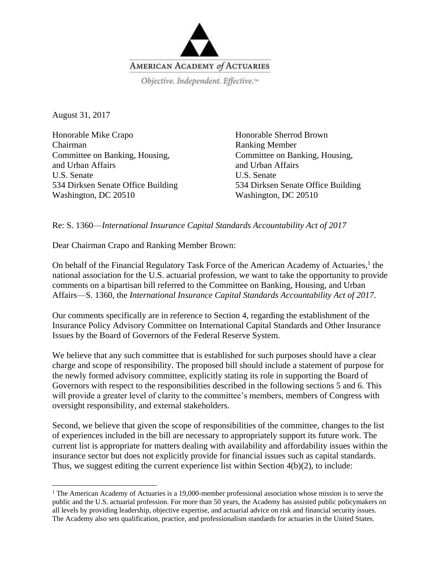

August 31, 2017

 $\overline{\phantom{a}}$ 

Honorable Mike Crapo Chairman Committee on Banking, Housing, and Urban Affairs U.S. Senate 534 Dirksen Senate Office Building Washington, DC 20510

Honorable Sherrod Brown Ranking Member Committee on Banking, Housing, and Urban Affairs U.S. Senate 534 Dirksen Senate Office Building Washington, DC 20510

Re: S. 1360—*International Insurance Capital Standards Accountability Act of 2017*

Dear Chairman Crapo and Ranking Member Brown:

On behalf of the Financial Regulatory Task Force of the American Academy of Actuaries,<sup>1</sup> the national association for the U.S. actuarial profession, we want to take the opportunity to provide comments on a bipartisan bill referred to the Committee on Banking, Housing, and Urban Affairs—S. 1360, the *International Insurance Capital Standards Accountability Act of 2017*.

Our comments specifically are in reference to Section 4, regarding the establishment of the Insurance Policy Advisory Committee on International Capital Standards and Other Insurance Issues by the Board of Governors of the Federal Reserve System.

We believe that any such committee that is established for such purposes should have a clear charge and scope of responsibility. The proposed bill should include a statement of purpose for the newly formed advisory committee, explicitly stating its role in supporting the Board of Governors with respect to the responsibilities described in the following sections 5 and 6. This will provide a greater level of clarity to the committee's members, members of Congress with oversight responsibility, and external stakeholders.

Second, we believe that given the scope of responsibilities of the committee, changes to the list of experiences included in the bill are necessary to appropriately support its future work. The current list is appropriate for matters dealing with availability and affordability issues within the insurance sector but does not explicitly provide for financial issues such as capital standards. Thus, we suggest editing the current experience list within Section 4(b)(2), to include:

<sup>&</sup>lt;sup>1</sup> The American Academy of Actuaries is a 19,000-member professional association whose mission is to serve the public and the U.S. actuarial profession. For more than 50 years, the Academy has assisted public policymakers on all levels by providing leadership, objective expertise, and actuarial advice on risk and financial security issues. The Academy also sets qualification, practice, and professionalism standards for actuaries in the United States.